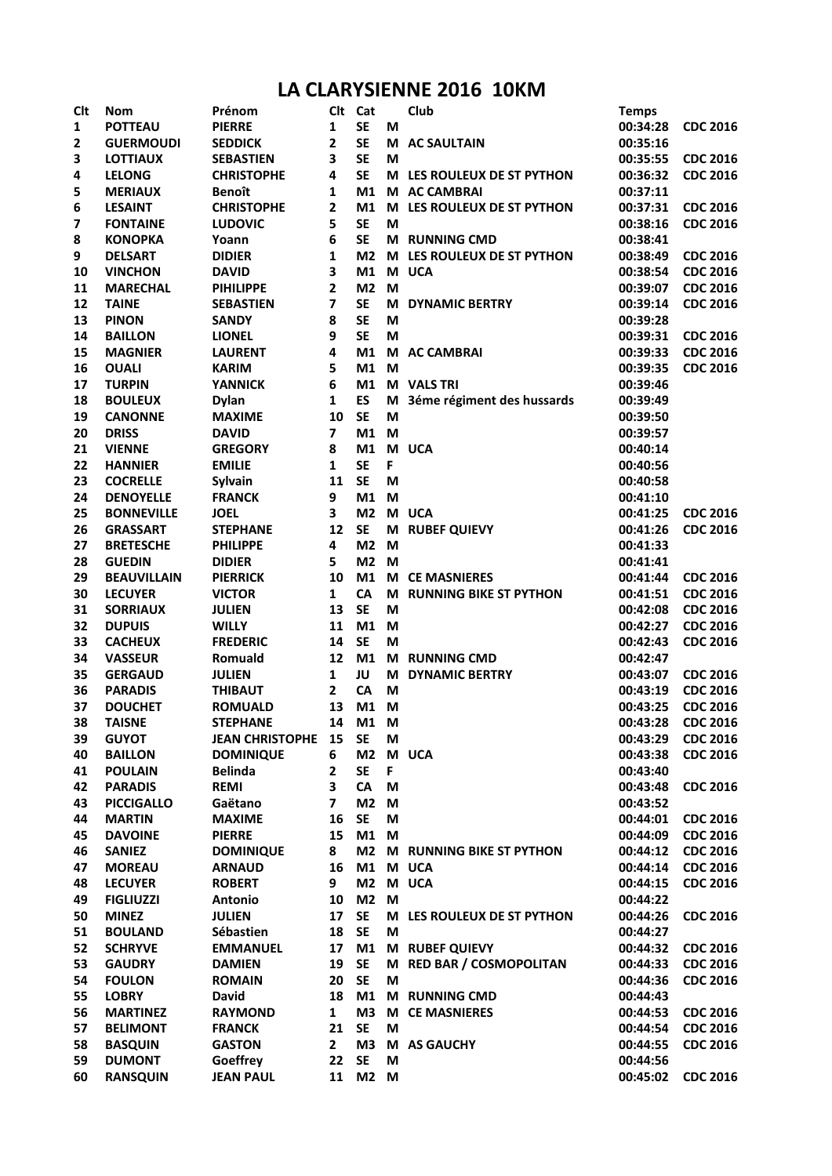## **LA CLARYSIENNE 2016 10KM**

| <b>Clt</b> | <b>Nom</b>                          | Prénom                        | Clt            | Cat                    |        | Club                          | <b>Temps</b>         |                 |
|------------|-------------------------------------|-------------------------------|----------------|------------------------|--------|-------------------------------|----------------------|-----------------|
| 1          | <b>POTTEAU</b>                      | <b>PIERRE</b>                 | 1              | <b>SE</b>              | M      |                               | 00:34:28             | <b>CDC 2016</b> |
| 2          | <b>GUERMOUDI</b>                    | <b>SEDDICK</b>                | 2              | <b>SE</b>              | M      | <b>AC SAULTAIN</b>            | 00:35:16             |                 |
| 3          | <b>LOTTIAUX</b>                     | <b>SEBASTIEN</b>              | 3              | <b>SE</b>              | M      |                               | 00:35:55             | <b>CDC 2016</b> |
| 4          | <b>LELONG</b>                       | <b>CHRISTOPHE</b>             | 4              | <b>SE</b>              |        | M LES ROULEUX DE ST PYTHON    | 00:36:32             | <b>CDC 2016</b> |
| 5          | <b>MERIAUX</b>                      | <b>Benoît</b>                 | 1              | M1                     |        | M AC CAMBRAI                  | 00:37:11             |                 |
| 6          | <b>LESAINT</b>                      | <b>CHRISTOPHE</b>             | 2              | M <sub>1</sub>         |        | M LES ROULEUX DE ST PYTHON    | 00:37:31             | <b>CDC 2016</b> |
| 7          | <b>FONTAINE</b>                     | <b>LUDOVIC</b>                | 5              | <b>SE</b>              | M      |                               | 00:38:16             | <b>CDC 2016</b> |
| 8          | <b>KONOPKA</b>                      | Yoann                         | 6              | <b>SE</b>              | M      | <b>RUNNING CMD</b>            | 00:38:41             |                 |
| 9          | <b>DELSART</b>                      | <b>DIDIER</b>                 | 1              | M <sub>2</sub>         |        | M LES ROULEUX DE ST PYTHON    | 00:38:49             | <b>CDC 2016</b> |
| 10         | <b>VINCHON</b>                      | <b>DAVID</b>                  | 3              | M1                     |        | M UCA                         | 00:38:54             | <b>CDC 2016</b> |
| 11         | <b>MARECHAL</b>                     | <b>PIHILIPPE</b>              | 2              | M2 M                   |        |                               | 00:39:07             | <b>CDC 2016</b> |
| 12         | <b>TAINE</b>                        | <b>SEBASTIEN</b>              | 7              | <b>SE</b>              |        | M DYNAMIC BERTRY              | 00:39:14             | <b>CDC 2016</b> |
| 13         | <b>PINON</b>                        | <b>SANDY</b>                  | 8              | <b>SE</b>              | M      |                               | 00:39:28             |                 |
| 14         | <b>BAILLON</b>                      | <b>LIONEL</b>                 | 9              | <b>SE</b>              | M      |                               | 00:39:31             | <b>CDC 2016</b> |
| 15         | <b>MAGNIER</b>                      | <b>LAURENT</b>                | 4              | M1                     |        | M AC CAMBRAI                  | 00:39:33             | <b>CDC 2016</b> |
| 16         | <b>OUALI</b>                        | <b>KARIM</b>                  | 5              | M1                     | M      |                               | 00:39:35             | <b>CDC 2016</b> |
| 17         | <b>TURPIN</b>                       | <b>YANNICK</b>                | 6              | M1                     |        | <b>M</b> VALS TRI             | 00:39:46             |                 |
| 18         | <b>BOULEUX</b>                      | <b>Dylan</b>                  | 1              | ES                     | M      | 3éme régiment des hussards    | 00:39:49             |                 |
| 19         | <b>CANONNE</b>                      | <b>MAXIME</b>                 | 10             | <b>SE</b>              | M      |                               | 00:39:50             |                 |
| 20         | <b>DRISS</b>                        | <b>DAVID</b>                  | $\overline{ }$ | M1                     | M      |                               | 00:39:57             |                 |
| 21         | <b>VIENNE</b>                       | <b>GREGORY</b>                | 8              | M1                     |        | M UCA                         | 00:40:14             |                 |
| 22         | <b>HANNIER</b>                      | <b>EMILIE</b>                 | 1              | <b>SE</b>              | F      |                               | 00:40:56             |                 |
| 23         | <b>COCRELLE</b>                     | <b>Sylvain</b>                | 11             | <b>SE</b>              | M      |                               | 00:40:58             |                 |
| 24         | <b>DENOYELLE</b>                    | <b>FRANCK</b>                 | 9              | M1                     | M      |                               | 00:41:10             |                 |
| 25         | <b>BONNEVILLE</b>                   | <b>JOEL</b>                   | 3              | M <sub>2</sub>         |        | M UCA                         | 00:41:25             | <b>CDC 2016</b> |
| 26         | <b>GRASSART</b>                     | <b>STEPHANE</b>               | 12             | <b>SE</b>              | M      | <b>RUBEF QUIEVY</b>           | 00:41:26             | <b>CDC 2016</b> |
| 27         | <b>BRETESCHE</b>                    | <b>PHILIPPE</b>               | 4              | M <sub>2</sub>         | M      |                               | 00:41:33             |                 |
| 28         | <b>GUEDIN</b>                       | <b>DIDIER</b>                 | 5              | M <sub>2</sub>         | M      |                               | 00:41:41             |                 |
| 29         | <b>BEAUVILLAIN</b>                  | <b>PIERRICK</b>               | 10             | M1                     |        | <b>M CE MASNIERES</b>         | 00:41:44             | <b>CDC 2016</b> |
| 30         | <b>LECUYER</b>                      | <b>VICTOR</b>                 | $\mathbf{1}$   | CA                     |        | M RUNNING BIKE ST PYTHON      | 00:41:51             | <b>CDC 2016</b> |
| 31         | <b>SORRIAUX</b>                     | <b>JULIEN</b>                 | 13             | <b>SE</b>              | M      |                               | 00:42:08             | <b>CDC 2016</b> |
| 32         | <b>DUPUIS</b>                       | <b>WILLY</b>                  | 11             | M1                     | M      |                               | 00:42:27             | <b>CDC 2016</b> |
| 33         | <b>CACHEUX</b>                      | <b>FREDERIC</b>               | 14             | <b>SE</b>              | M      |                               | 00:42:43             | <b>CDC 2016</b> |
| 34         | <b>VASSEUR</b>                      | Romuald                       | 12             | M1                     |        | M RUNNING CMD                 | 00:42:47             |                 |
| 35         | <b>GERGAUD</b>                      | <b>JULIEN</b>                 | $\mathbf{1}$   | JU                     | M      | <b>DYNAMIC BERTRY</b>         | 00:43:07             | <b>CDC 2016</b> |
| 36         | <b>PARADIS</b>                      | <b>THIBAUT</b>                | $\mathbf{2}$   | CA                     | M      |                               | 00:43:19             | <b>CDC 2016</b> |
|            | <b>DOUCHET</b>                      | <b>ROMUALD</b>                | 13             | M1 M                   |        |                               | 00:43:25             | <b>CDC 2016</b> |
| 37<br>38   | <b>TAISNE</b>                       | <b>STEPHANE</b>               | 14             | M1                     | M      |                               | 00:43:28             | <b>CDC 2016</b> |
| 39         | <b>GUYOT</b>                        | <b>JEAN CHRISTOPHE</b>        | 15             | <b>SE</b>              |        |                               | 00:43:29             | <b>CDC 2016</b> |
| 40         | <b>BAILLON</b>                      | <b>DOMINIQUE</b>              | 6              | M <sub>2</sub>         | M      | M UCA                         | 00:43:38             | <b>CDC 2016</b> |
|            |                                     |                               | 2              | <b>SE</b>              |        |                               |                      |                 |
| 41         | <b>POULAIN</b>                      | <b>Belinda</b><br><b>REMI</b> | 3              | CA                     | F<br>M |                               | 00:43:40             | <b>CDC 2016</b> |
| 42         | <b>PARADIS</b><br><b>PICCIGALLO</b> |                               | 7              | M <sub>2</sub>         | M      |                               | 00:43:48<br>00:43:52 |                 |
| 43         |                                     | Gaëtano                       |                | <b>SE</b>              |        |                               |                      |                 |
| 44         | <b>MARTIN</b><br><b>DAVOINE</b>     | <b>MAXIME</b>                 | 16<br>15       | M1                     | M      |                               | 00:44:01             | <b>CDC 2016</b> |
| 45         | <b>SANIEZ</b>                       | <b>PIERRE</b>                 |                | M <sub>2</sub>         | M      | M RUNNING BIKE ST PYTHON      | 00:44:09             | <b>CDC 2016</b> |
| 46         |                                     | <b>DOMINIQUE</b>              | 8<br>16        | M1                     |        |                               | 00:44:12             | <b>CDC 2016</b> |
| 47         | <b>MOREAU</b>                       | <b>ARNAUD</b>                 |                |                        |        | M UCA                         | 00:44:14             | <b>CDC 2016</b> |
| 48         | <b>LECUYER</b>                      | <b>ROBERT</b>                 | 9              | M <sub>2</sub><br>M2 M |        | M UCA                         | 00:44:15             | <b>CDC 2016</b> |
| 49         | <b>FIGLIUZZI</b>                    | Antonio                       | 10             |                        |        |                               | 00:44:22             |                 |
| 50         | <b>MINEZ</b>                        | <b>JULIEN</b>                 | 17             | <b>SE</b>              |        | M LES ROULEUX DE ST PYTHON    | 00:44:26             | <b>CDC 2016</b> |
| 51         | <b>BOULAND</b>                      | Sébastien                     | 18             | <b>SE</b>              | M      |                               | 00:44:27             |                 |
| 52         | <b>SCHRYVE</b>                      | <b>EMMANUEL</b>               | 17             | M1                     | M      | <b>RUBEF QUIEVY</b>           | 00:44:32             | <b>CDC 2016</b> |
| 53         | <b>GAUDRY</b>                       | <b>DAMIEN</b>                 | 19             | <b>SE</b>              | M      | <b>RED BAR / COSMOPOLITAN</b> | 00:44:33             | <b>CDC 2016</b> |
| 54         | <b>FOULON</b>                       | <b>ROMAIN</b>                 | 20             | <b>SE</b>              | M      |                               | 00:44:36             | <b>CDC 2016</b> |
| 55         | <b>LOBRY</b>                        | <b>David</b>                  | 18             | M1                     | M      | <b>RUNNING CMD</b>            | 00:44:43             |                 |
| 56         | <b>MARTINEZ</b>                     | <b>RAYMOND</b>                | 1              | M <sub>3</sub>         |        | <b>M CE MASNIERES</b>         | 00:44:53             | <b>CDC 2016</b> |
| 57         | <b>BELIMONT</b>                     | <b>FRANCK</b>                 | 21             | <b>SE</b>              | М      |                               | 00:44:54             | <b>CDC 2016</b> |
| 58         | <b>BASQUIN</b>                      | <b>GASTON</b>                 | $\mathbf{2}$   | M <sub>3</sub>         | M      | <b>AS GAUCHY</b>              | 00:44:55             | <b>CDC 2016</b> |
| 59         | <b>DUMONT</b>                       | Goeffrey                      | 22             | <b>SE</b>              | M      |                               | 00:44:56             |                 |
| 60         | <b>RANSQUIN</b>                     | <b>JEAN PAUL</b>              | 11             | M2 M                   |        |                               | 00:45:02             | <b>CDC 2016</b> |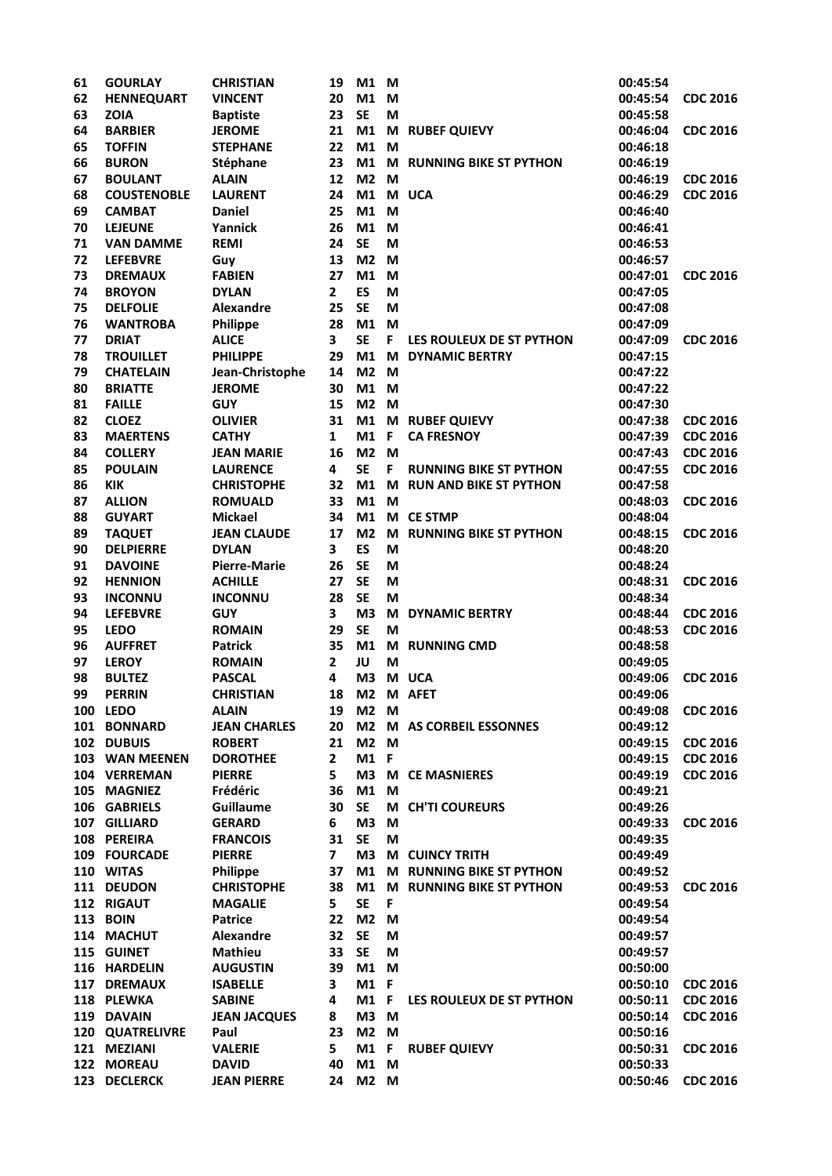| 61 | <b>GOURLAY</b>     | <b>CHRISTIAN</b>            | 19             | M1 M             |    |                               | 00:45:54 |                 |
|----|--------------------|-----------------------------|----------------|------------------|----|-------------------------------|----------|-----------------|
| 62 | <b>HENNEQUART</b>  | <b>VINCENT</b>              | 20             | M1 M             |    |                               | 00:45:54 | <b>CDC 2016</b> |
| 63 | <b>ZOIA</b>        | <b>Baptiste</b>             | 23             | <b>SE</b>        | M  |                               | 00:45:58 |                 |
| 64 | <b>BARBIER</b>     | <b>JEROME</b>               | 21             | M1               | M  | <b>RUBEF QUIEVY</b>           | 00:46:04 | <b>CDC 2016</b> |
| 65 | <b>TOFFIN</b>      | <b>STEPHANE</b>             | 22             | M1               | M  |                               | 00:46:18 |                 |
| 66 | <b>BURON</b>       | Stéphane                    | 23             | M1               | M  | <b>RUNNING BIKE ST PYTHON</b> | 00:46:19 |                 |
| 67 | <b>BOULANT</b>     | <b>ALAIN</b>                | 12             | M <sub>2</sub>   | M  |                               | 00:46:19 | <b>CDC 2016</b> |
| 68 | <b>COUSTENOBLE</b> | <b>LAURENT</b>              | 24             | M1               |    | M UCA                         | 00:46:29 | <b>CDC 2016</b> |
| 69 | <b>CAMBAT</b>      | <b>Daniel</b>               | 25             | M1               | M  |                               | 00:46:40 |                 |
| 70 | <b>LEJEUNE</b>     | Yannick                     | 26             | M1               | M  |                               | 00:46:41 |                 |
| 71 | <b>VAN DAMME</b>   | <b>REMI</b>                 | 24             | <b>SE</b>        | M  |                               | 00:46:53 |                 |
| 72 | <b>LEFEBVRE</b>    | Guy                         | 13             | M <sub>2</sub>   | M  |                               | 00:46:57 |                 |
| 73 | <b>DREMAUX</b>     | <b>FABIEN</b>               | 27             | M1               | M  |                               | 00:47:01 | <b>CDC 2016</b> |
| 74 | <b>BROYON</b>      | <b>DYLAN</b>                | $\mathbf{2}$   | ES               | M  |                               | 00:47:05 |                 |
| 75 | <b>DELFOLIE</b>    | <b>Alexandre</b>            | 25             | <b>SE</b>        | M  |                               | 00:47:08 |                 |
| 76 | <b>WANTROBA</b>    | Philippe                    | 28             | M1               | M  |                               | 00:47:09 |                 |
| 77 | <b>DRIAT</b>       | <b>ALICE</b>                | 3              | <b>SE</b>        | F  | LES ROULEUX DE ST PYTHON      | 00:47:09 | <b>CDC 2016</b> |
| 78 | <b>TROUILLET</b>   | <b>PHILIPPE</b>             | 29             | M1               | M  | <b>DYNAMIC BERTRY</b>         | 00:47:15 |                 |
| 79 | <b>CHATELAIN</b>   | Jean-Christophe             | 14             | M <sub>2</sub>   | M  |                               | 00:47:22 |                 |
| 80 | <b>BRIATTE</b>     | <b>JEROME</b>               | 30             | M1 M             |    |                               | 00:47:22 |                 |
| 81 | <b>FAILLE</b>      | <b>GUY</b>                  | 15             | M <sub>2</sub>   | M  |                               | 00:47:30 |                 |
| 82 | <b>CLOEZ</b>       | <b>OLIVIER</b>              | 31             | M1               |    | M RUBEF QUIEVY                | 00:47:38 | <b>CDC 2016</b> |
| 83 | <b>MAERTENS</b>    | <b>CATHY</b>                | 1              | M1               | F  | <b>CA FRESNOY</b>             | 00:47:39 | <b>CDC 2016</b> |
| 84 | <b>COLLERY</b>     | <b>JEAN MARIE</b>           | 16             | M <sub>2</sub>   | M  |                               | 00:47:43 | <b>CDC 2016</b> |
| 85 | <b>POULAIN</b>     | <b>LAURENCE</b>             | 4              | <b>SE</b>        | F. | <b>RUNNING BIKE ST PYTHON</b> | 00:47:55 | <b>CDC 2016</b> |
| 86 | <b>KIK</b>         | <b>CHRISTOPHE</b>           | 32             | M1               |    | M RUN AND BIKE ST PYTHON      | 00:47:58 |                 |
| 87 | <b>ALLION</b>      | <b>ROMUALD</b>              | 33             | M1 M             |    |                               | 00:48:03 | <b>CDC 2016</b> |
| 88 | <b>GUYART</b>      | <b>Mickael</b>              | 34             | M1               |    | M CE STMP                     | 00:48:04 |                 |
| 89 | <b>TAQUET</b>      | <b>JEAN CLAUDE</b>          | 17             | M <sub>2</sub>   |    | M RUNNING BIKE ST PYTHON      | 00:48:15 | <b>CDC 2016</b> |
| 90 | <b>DELPIERRE</b>   | <b>DYLAN</b>                | 3              | <b>ES</b>        | M  |                               | 00:48:20 |                 |
| 91 | <b>DAVOINE</b>     | <b>Pierre-Marie</b>         | 26             | <b>SE</b>        | M  |                               | 00:48:24 |                 |
| 92 | <b>HENNION</b>     | <b>ACHILLE</b>              | 27             | <b>SE</b>        | M  |                               | 00:48:31 | <b>CDC 2016</b> |
| 93 | <b>INCONNU</b>     | <b>INCONNU</b>              | 28             | <b>SE</b>        | M  |                               | 00:48:34 |                 |
| 94 | <b>LEFEBVRE</b>    | <b>GUY</b>                  | 3              | M <sub>3</sub>   | M  | <b>DYNAMIC BERTRY</b>         | 00:48:44 | <b>CDC 2016</b> |
| 95 | <b>LEDO</b>        | <b>ROMAIN</b>               | 29             | <b>SE</b>        | M  |                               | 00:48:53 | <b>CDC 2016</b> |
| 96 | <b>AUFFRET</b>     | <b>Patrick</b>              | 35             | M1               | M  | <b>RUNNING CMD</b>            | 00:48:58 |                 |
| 97 | <b>LEROY</b>       | <b>ROMAIN</b>               | 2              | JU               | M  |                               | 00:49:05 |                 |
| 98 | <b>BULTEZ</b>      | <b>PASCAL</b>               | 4              | M <sub>3</sub>   |    | M UCA                         | 00:49:06 | <b>CDC 2016</b> |
| 99 | <b>PERRIN</b>      | <b>CHRISTIAN</b>            | 18             | M <sub>2</sub>   |    | M AFET                        | 00:49:06 |                 |
|    | 100 LEDO           | <b>ALAIN</b>                | 19             | M <sub>2</sub> M |    |                               | 00:49:08 | <b>CDC 2016</b> |
|    | 101 BONNARD        | <b>JEAN CHARLES</b>         | 20             |                  |    | M2 M AS CORBEIL ESSONNES      | 00:49:12 |                 |
|    | 102 DUBUIS         | <b>ROBERT</b>               | 21             | M <sub>2</sub>   | M  |                               | 00:49:15 | <b>CDC 2016</b> |
|    | 103 WAN MEENEN     | <b>DOROTHEE</b>             | $\mathbf{2}$   | <b>M1 F</b>      |    |                               | 00:49:15 | <b>CDC 2016</b> |
|    | 104 VERREMAN       | <b>PIERRE</b>               | 5              | M <sub>3</sub>   |    | <b>M</b> CE MASNIERES         | 00:49:19 | <b>CDC 2016</b> |
|    | 105 MAGNIEZ        | Frédéric                    | 36             | M1               | M  |                               | 00:49:21 |                 |
|    | 106 GABRIELS       | Guillaume                   | 30             | <b>SE</b>        |    | M CH'TI COUREURS              | 00:49:26 |                 |
|    | 107 GILLIARD       | <b>GERARD</b>               | 6              | M <sub>3</sub>   | M  |                               | 00:49:33 | <b>CDC 2016</b> |
|    | 108 PEREIRA        | <b>FRANCOIS</b>             | 31             | <b>SE</b>        | M  |                               | 00:49:35 |                 |
|    | 109 FOURCADE       | <b>PIERRE</b>               | $\overline{ }$ | M <sub>3</sub>   |    | M CUINCY TRITH                | 00:49:49 |                 |
|    | 110 WITAS          | Philippe                    | 37             | M1               |    | M RUNNING BIKE ST PYTHON      | 00:49:52 |                 |
|    | 111 DEUDON         | <b>CHRISTOPHE</b>           | 38             |                  |    | M1 M RUNNING BIKE ST PYTHON   | 00:49:53 | <b>CDC 2016</b> |
|    | 112 RIGAUT         | <b>MAGALIE</b>              | 5              | <b>SE</b>        | F  |                               | 00:49:54 |                 |
|    | <b>113 BOIN</b>    | <b>Patrice</b>              | 22             | <b>M2 M</b>      |    |                               | 00:49:54 |                 |
|    | 114 MACHUT         | <b>Alexandre</b>            | 32             | <b>SE</b>        | M  |                               | 00:49:57 |                 |
|    | 115 GUINET         | <b>Mathieu</b>              | 33             | <b>SE</b>        | M  |                               | 00:49:57 |                 |
|    | 116 HARDELIN       | <b>AUGUSTIN</b>             | 39             | M1               | M  |                               | 00:50:00 |                 |
|    | 117 DREMAUX        | <b>ISABELLE</b>             | 3              | <b>M1 F</b>      |    |                               | 00:50:10 | <b>CDC 2016</b> |
|    | 118 PLEWKA         | <b>SABINE</b>               | 4              | <b>M1 F</b>      |    | LES ROULEUX DE ST PYTHON      | 00:50:11 | <b>CDC 2016</b> |
|    | 119 DAVAIN         |                             | 8              | M <sub>3</sub>   | M  |                               | 00:50:14 | <b>CDC 2016</b> |
|    | 120 QUATRELIVRE    | <b>JEAN JACQUES</b><br>Paul | 23             | M <sub>2</sub>   | M  |                               | 00:50:16 |                 |
|    | 121 MEZIANI        | <b>VALERIE</b>              | 5              | M1               | F  |                               |          | <b>CDC 2016</b> |
|    |                    |                             | 40             | M1               | M  | <b>RUBEF QUIEVY</b>           | 00:50:31 |                 |
|    | 122 MOREAU         | <b>DAVID</b>                |                | M2 M             |    |                               | 00:50:33 |                 |
|    | 123 DECLERCK       | <b>JEAN PIERRE</b>          | 24             |                  |    |                               | 00:50:46 | <b>CDC 2016</b> |